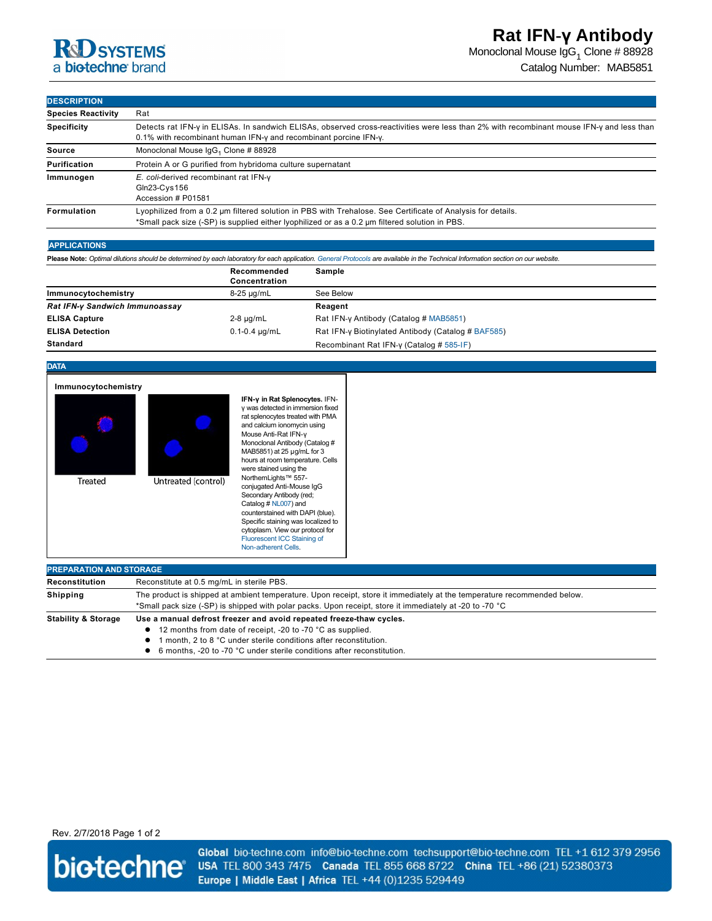Monoclonal Mouse IgG $_1$  Clone # 88928

Catalog Number: MAB5851

## **DESCRIPTION**

| <b>Species Reactivity</b> | Rat                                                                                                                                                                                                           |  |  |
|---------------------------|---------------------------------------------------------------------------------------------------------------------------------------------------------------------------------------------------------------|--|--|
| <b>Specificity</b>        | Detects rat IFN-y in ELISAs. In sandwich ELISAs, observed cross-reactivities were less than 2% with recombinant mouse IFN-y and less than<br>0.1% with recombinant human IFN-y and recombinant porcine IFN-y. |  |  |
| Source                    | Monoclonal Mouse IgG <sub>1</sub> Clone # 88928                                                                                                                                                               |  |  |
| <b>Purification</b>       | Protein A or G purified from hybridoma culture supernatant                                                                                                                                                    |  |  |
| Immunogen                 | E. coli-derived recombinant rat IFN-y<br>$Gln23-Cys156$<br>Accession # P01581                                                                                                                                 |  |  |
| Formulation               | Lyophilized from a 0.2 µm filtered solution in PBS with Trehalose. See Certificate of Analysis for details.<br>*Small pack size (-SP) is supplied either lyophilized or as a 0.2 µm filtered solution in PBS. |  |  |

### **APPLICATIONS**

Please Note: Optimal dilutions should be determined by each laboratory for each application. [General Protocols](http://www.rndsystems.com/resources/protocols-troubleshooting-guides) are available in the Technical Information section on our website.

|                                | Recommended<br>Concentration | Sample                                             |
|--------------------------------|------------------------------|----------------------------------------------------|
| Immunocytochemistry            | $8-25 \mu q/mL$              | See Below                                          |
| Rat IFN-y Sandwich Immunoassay |                              | Reagent                                            |
| <b>ELISA Capture</b>           | $2-8 \mu q/mL$               | Rat IFN-y Antibody (Catalog # MAB5851)             |
| <b>ELISA Detection</b>         | $0.1 - 0.4 \mu q/mL$         | Rat IFN-y Biotinylated Antibody (Catalog # BAF585) |
| <b>Standard</b>                |                              | Recombinant Rat IFN-y (Catalog # 585-IF)           |

## **DATA**

| Immunocytochemistry<br>Treated | Untreated (control)                                                                                                                                                                                                                | IFN-y in Rat Splenocytes. IFN-<br>y was detected in immersion fixed<br>rat splenocytes treated with PMA<br>and calcium ionomycin using<br>Mouse Anti-Rat IFN-y<br>Monoclonal Antibody (Catalog #<br>MAB5851) at 25 µg/mL for 3<br>hours at room temperature. Cells<br>were stained using the<br>NorthernLights™ 557-<br>conjugated Anti-Mouse IgG<br>Secondary Antibody (red;<br>Catalog # NL007) and<br>counterstained with DAPI (blue).<br>Specific staining was localized to<br>cytoplasm. View our protocol for<br>Fluorescent ICC Staining of<br>Non-adherent Cells. |  |  |  |
|--------------------------------|------------------------------------------------------------------------------------------------------------------------------------------------------------------------------------------------------------------------------------|---------------------------------------------------------------------------------------------------------------------------------------------------------------------------------------------------------------------------------------------------------------------------------------------------------------------------------------------------------------------------------------------------------------------------------------------------------------------------------------------------------------------------------------------------------------------------|--|--|--|
| <b>PREPARATION AND STORAGE</b> |                                                                                                                                                                                                                                    |                                                                                                                                                                                                                                                                                                                                                                                                                                                                                                                                                                           |  |  |  |
| <b>Reconstitution</b>          | Reconstitute at 0.5 mg/mL in sterile PBS.                                                                                                                                                                                          |                                                                                                                                                                                                                                                                                                                                                                                                                                                                                                                                                                           |  |  |  |
| <b>Shipping</b>                | The product is shipped at ambient temperature. Upon receipt, store it immediately at the temperature recommended below.<br>*Small pack size (-SP) is shipped with polar packs. Upon receipt, store it immediately at -20 to -70 °C |                                                                                                                                                                                                                                                                                                                                                                                                                                                                                                                                                                           |  |  |  |
| Stability & Storage            | lleg a manual defrost freezer and avoid repeated freeze thaw cycles                                                                                                                                                                |                                                                                                                                                                                                                                                                                                                                                                                                                                                                                                                                                                           |  |  |  |

**Stability & Storage Use a manual defrost freezer and avoid repeated freezethaw cycles.** 

- 12 months from date of receipt, -20 to -70 °C as supplied.
- **1** month, 2 to 8 °C under sterile conditions after reconstitution.
- 6 months, -20 to -70 °C under sterile conditions after reconstitution.

## Rev. 2/7/2018 Page 1 of 2



Global bio-techne.com info@bio-techne.com techsupport@bio-techne.com TEL +1 612 379 2956 USA TEL 800 343 7475 Canada TEL 855 668 8722 China TEL +86 (21) 52380373 Europe | Middle East | Africa TEL +44 (0)1235 529449